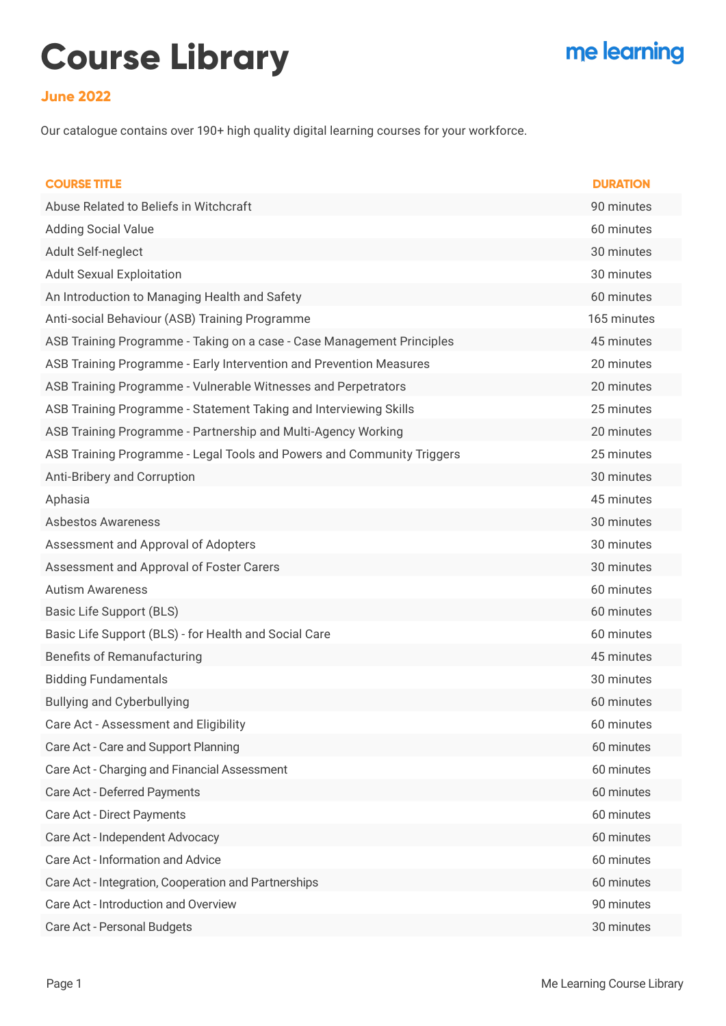## **Course Library**

## me learning

## **June 2022**

Our catalogue contains over 190+ high quality digital learning courses for your workforce.

| <b>COURSE TITLE</b>                                                    | <b>DURATION</b> |
|------------------------------------------------------------------------|-----------------|
| Abuse Related to Beliefs in Witchcraft                                 | 90 minutes      |
| <b>Adding Social Value</b>                                             | 60 minutes      |
| Adult Self-neglect                                                     | 30 minutes      |
| <b>Adult Sexual Exploitation</b>                                       | 30 minutes      |
| An Introduction to Managing Health and Safety                          | 60 minutes      |
| Anti-social Behaviour (ASB) Training Programme                         | 165 minutes     |
| ASB Training Programme - Taking on a case - Case Management Principles | 45 minutes      |
| ASB Training Programme - Early Intervention and Prevention Measures    | 20 minutes      |
| ASB Training Programme - Vulnerable Witnesses and Perpetrators         | 20 minutes      |
| ASB Training Programme - Statement Taking and Interviewing Skills      | 25 minutes      |
| ASB Training Programme - Partnership and Multi-Agency Working          | 20 minutes      |
| ASB Training Programme - Legal Tools and Powers and Community Triggers | 25 minutes      |
| Anti-Bribery and Corruption                                            | 30 minutes      |
| Aphasia                                                                | 45 minutes      |
| <b>Asbestos Awareness</b>                                              | 30 minutes      |
| Assessment and Approval of Adopters                                    | 30 minutes      |
| Assessment and Approval of Foster Carers                               | 30 minutes      |
| <b>Autism Awareness</b>                                                | 60 minutes      |
| Basic Life Support (BLS)                                               | 60 minutes      |
| Basic Life Support (BLS) - for Health and Social Care                  | 60 minutes      |
| <b>Benefits of Remanufacturing</b>                                     | 45 minutes      |
| <b>Bidding Fundamentals</b>                                            | 30 minutes      |
| <b>Bullying and Cyberbullying</b>                                      | 60 minutes      |
| Care Act - Assessment and Eligibility                                  | 60 minutes      |
| Care Act - Care and Support Planning                                   | 60 minutes      |
| Care Act - Charging and Financial Assessment                           | 60 minutes      |
| Care Act - Deferred Payments                                           | 60 minutes      |
| <b>Care Act - Direct Payments</b>                                      | 60 minutes      |
| Care Act - Independent Advocacy                                        | 60 minutes      |
| Care Act - Information and Advice                                      | 60 minutes      |
| Care Act - Integration, Cooperation and Partnerships                   | 60 minutes      |
| Care Act - Introduction and Overview                                   | 90 minutes      |
| Care Act - Personal Budgets                                            | 30 minutes      |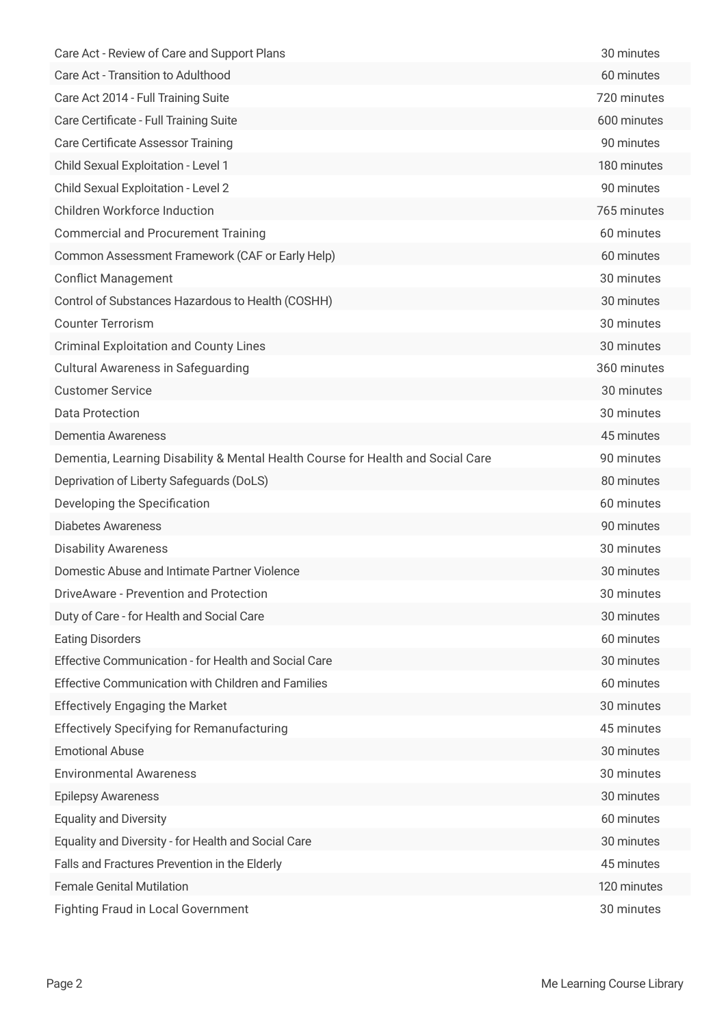| Care Act - Review of Care and Support Plans                                     | 30 minutes  |
|---------------------------------------------------------------------------------|-------------|
| Care Act - Transition to Adulthood                                              | 60 minutes  |
| Care Act 2014 - Full Training Suite                                             | 720 minutes |
| Care Certificate - Full Training Suite                                          | 600 minutes |
| <b>Care Certificate Assessor Training</b>                                       | 90 minutes  |
| Child Sexual Exploitation - Level 1                                             | 180 minutes |
| Child Sexual Exploitation - Level 2                                             | 90 minutes  |
| <b>Children Workforce Induction</b>                                             | 765 minutes |
| <b>Commercial and Procurement Training</b>                                      | 60 minutes  |
| Common Assessment Framework (CAF or Early Help)                                 | 60 minutes  |
| <b>Conflict Management</b>                                                      | 30 minutes  |
| Control of Substances Hazardous to Health (COSHH)                               | 30 minutes  |
| <b>Counter Terrorism</b>                                                        | 30 minutes  |
| <b>Criminal Exploitation and County Lines</b>                                   | 30 minutes  |
| <b>Cultural Awareness in Safeguarding</b>                                       | 360 minutes |
| <b>Customer Service</b>                                                         | 30 minutes  |
| <b>Data Protection</b>                                                          | 30 minutes  |
| Dementia Awareness                                                              | 45 minutes  |
| Dementia, Learning Disability & Mental Health Course for Health and Social Care | 90 minutes  |
| Deprivation of Liberty Safeguards (DoLS)                                        | 80 minutes  |
| Developing the Specification                                                    | 60 minutes  |
| <b>Diabetes Awareness</b>                                                       | 90 minutes  |
| <b>Disability Awareness</b>                                                     | 30 minutes  |
| Domestic Abuse and Intimate Partner Violence                                    | 30 minutes  |
| DriveAware - Prevention and Protection                                          | 30 minutes  |
| Duty of Care - for Health and Social Care                                       | 30 minutes  |
| <b>Eating Disorders</b>                                                         | 60 minutes  |
| Effective Communication - for Health and Social Care                            | 30 minutes  |
| Effective Communication with Children and Families                              | 60 minutes  |
| <b>Effectively Engaging the Market</b>                                          | 30 minutes  |
| <b>Effectively Specifying for Remanufacturing</b>                               | 45 minutes  |
| <b>Emotional Abuse</b>                                                          | 30 minutes  |
| <b>Environmental Awareness</b>                                                  | 30 minutes  |
| <b>Epilepsy Awareness</b>                                                       | 30 minutes  |
| <b>Equality and Diversity</b>                                                   | 60 minutes  |
| Equality and Diversity - for Health and Social Care                             | 30 minutes  |
| Falls and Fractures Prevention in the Elderly                                   | 45 minutes  |
| <b>Female Genital Mutilation</b>                                                | 120 minutes |
| <b>Fighting Fraud in Local Government</b>                                       | 30 minutes  |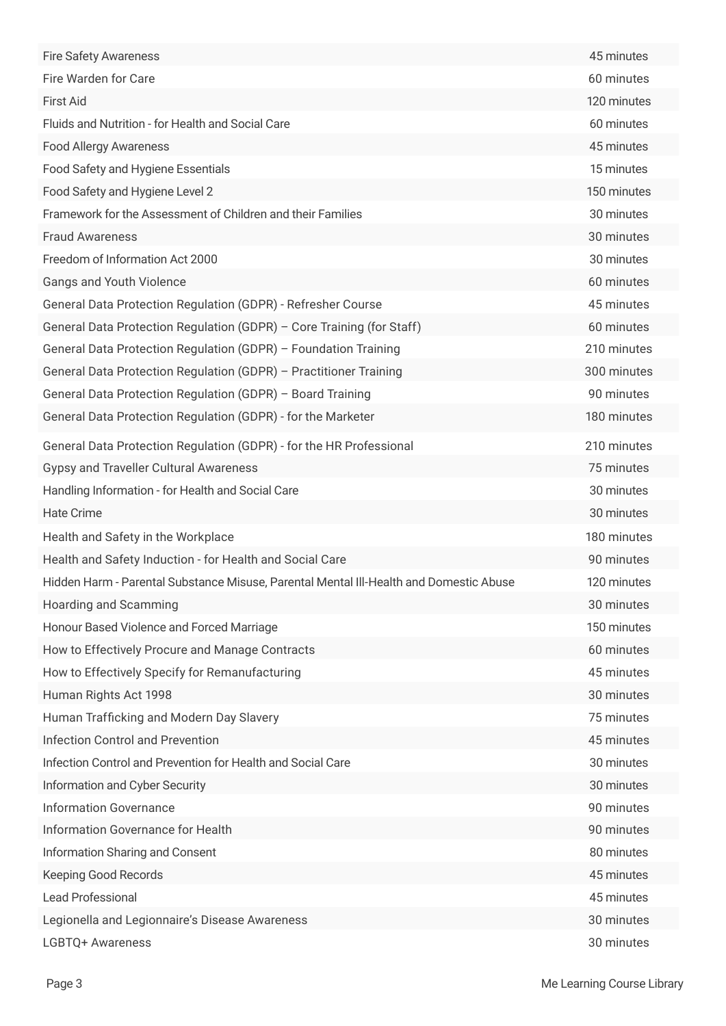| <b>Fire Safety Awareness</b>                                                           | 45 minutes  |
|----------------------------------------------------------------------------------------|-------------|
| Fire Warden for Care                                                                   | 60 minutes  |
| <b>First Aid</b>                                                                       | 120 minutes |
| Fluids and Nutrition - for Health and Social Care                                      | 60 minutes  |
| <b>Food Allergy Awareness</b>                                                          | 45 minutes  |
| Food Safety and Hygiene Essentials                                                     | 15 minutes  |
| Food Safety and Hygiene Level 2                                                        | 150 minutes |
| Framework for the Assessment of Children and their Families                            | 30 minutes  |
| <b>Fraud Awareness</b>                                                                 | 30 minutes  |
| Freedom of Information Act 2000                                                        | 30 minutes  |
| Gangs and Youth Violence                                                               | 60 minutes  |
| General Data Protection Regulation (GDPR) - Refresher Course                           | 45 minutes  |
| General Data Protection Regulation (GDPR) - Core Training (for Staff)                  | 60 minutes  |
| General Data Protection Regulation (GDPR) - Foundation Training                        | 210 minutes |
| General Data Protection Regulation (GDPR) - Practitioner Training                      | 300 minutes |
| General Data Protection Regulation (GDPR) - Board Training                             | 90 minutes  |
| General Data Protection Regulation (GDPR) - for the Marketer                           | 180 minutes |
| General Data Protection Regulation (GDPR) - for the HR Professional                    | 210 minutes |
| <b>Gypsy and Traveller Cultural Awareness</b>                                          | 75 minutes  |
| Handling Information - for Health and Social Care                                      | 30 minutes  |
| <b>Hate Crime</b>                                                                      | 30 minutes  |
| Health and Safety in the Workplace                                                     | 180 minutes |
| Health and Safety Induction - for Health and Social Care                               | 90 minutes  |
| Hidden Harm - Parental Substance Misuse, Parental Mental III-Health and Domestic Abuse | 120 minutes |
| Hoarding and Scamming                                                                  | 30 minutes  |
| Honour Based Violence and Forced Marriage                                              | 150 minutes |
| How to Effectively Procure and Manage Contracts                                        | 60 minutes  |
| How to Effectively Specify for Remanufacturing                                         | 45 minutes  |
| Human Rights Act 1998                                                                  | 30 minutes  |
| Human Trafficking and Modern Day Slavery                                               | 75 minutes  |
| <b>Infection Control and Prevention</b>                                                | 45 minutes  |
| Infection Control and Prevention for Health and Social Care                            | 30 minutes  |
| Information and Cyber Security                                                         | 30 minutes  |
| <b>Information Governance</b>                                                          | 90 minutes  |
| Information Governance for Health                                                      | 90 minutes  |
| Information Sharing and Consent                                                        | 80 minutes  |
| Keeping Good Records                                                                   | 45 minutes  |
| Lead Professional                                                                      | 45 minutes  |
| Legionella and Legionnaire's Disease Awareness                                         | 30 minutes  |
| LGBTQ+ Awareness                                                                       | 30 minutes  |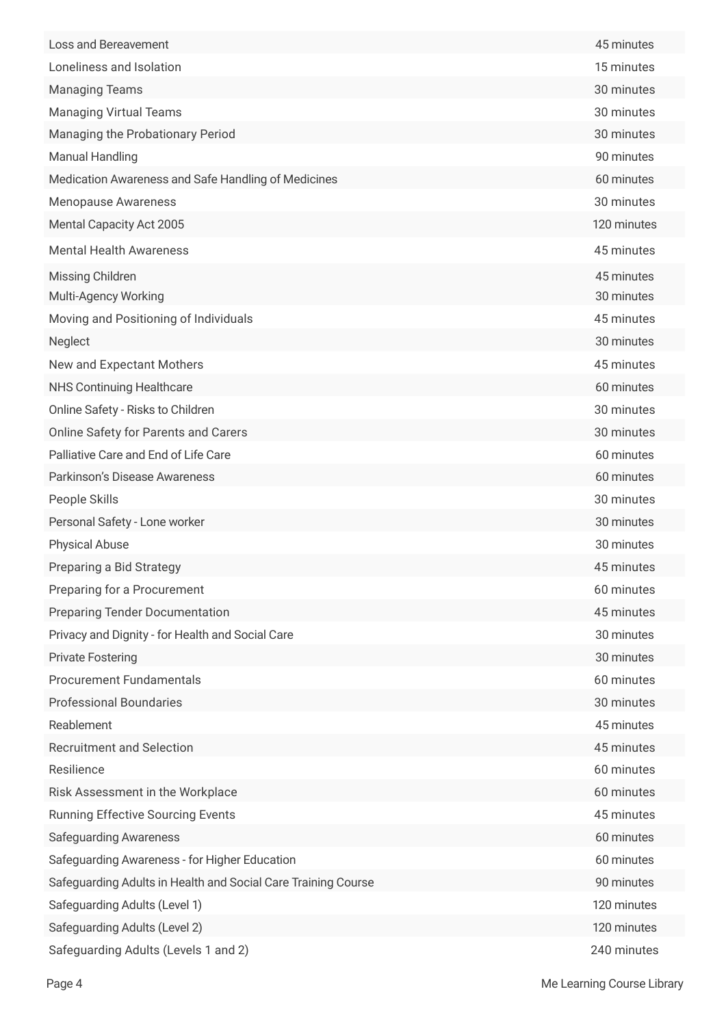| Loss and Bereavement                                          | 45 minutes  |
|---------------------------------------------------------------|-------------|
| Loneliness and Isolation                                      | 15 minutes  |
| <b>Managing Teams</b>                                         | 30 minutes  |
| <b>Managing Virtual Teams</b>                                 | 30 minutes  |
| Managing the Probationary Period                              | 30 minutes  |
| <b>Manual Handling</b>                                        | 90 minutes  |
| Medication Awareness and Safe Handling of Medicines           | 60 minutes  |
| <b>Menopause Awareness</b>                                    | 30 minutes  |
| Mental Capacity Act 2005                                      | 120 minutes |
| <b>Mental Health Awareness</b>                                | 45 minutes  |
| Missing Children                                              | 45 minutes  |
| Multi-Agency Working                                          | 30 minutes  |
| Moving and Positioning of Individuals                         | 45 minutes  |
| Neglect                                                       | 30 minutes  |
| New and Expectant Mothers                                     | 45 minutes  |
| <b>NHS Continuing Healthcare</b>                              | 60 minutes  |
| Online Safety - Risks to Children                             | 30 minutes  |
| <b>Online Safety for Parents and Carers</b>                   | 30 minutes  |
| Palliative Care and End of Life Care                          | 60 minutes  |
| Parkinson's Disease Awareness                                 | 60 minutes  |
| People Skills                                                 | 30 minutes  |
| Personal Safety - Lone worker                                 | 30 minutes  |
| <b>Physical Abuse</b>                                         | 30 minutes  |
| Preparing a Bid Strategy                                      | 45 minutes  |
| Preparing for a Procurement                                   | 60 minutes  |
| <b>Preparing Tender Documentation</b>                         | 45 minutes  |
| Privacy and Dignity - for Health and Social Care              | 30 minutes  |
| <b>Private Fostering</b>                                      | 30 minutes  |
| <b>Procurement Fundamentals</b>                               | 60 minutes  |
| <b>Professional Boundaries</b>                                | 30 minutes  |
| Reablement                                                    | 45 minutes  |
| <b>Recruitment and Selection</b>                              | 45 minutes  |
| Resilience                                                    | 60 minutes  |
| Risk Assessment in the Workplace                              | 60 minutes  |
| <b>Running Effective Sourcing Events</b>                      | 45 minutes  |
| <b>Safeguarding Awareness</b>                                 | 60 minutes  |
| Safeguarding Awareness - for Higher Education                 | 60 minutes  |
| Safeguarding Adults in Health and Social Care Training Course | 90 minutes  |
| Safeguarding Adults (Level 1)                                 | 120 minutes |
| Safeguarding Adults (Level 2)                                 | 120 minutes |
| Safeguarding Adults (Levels 1 and 2)                          | 240 minutes |